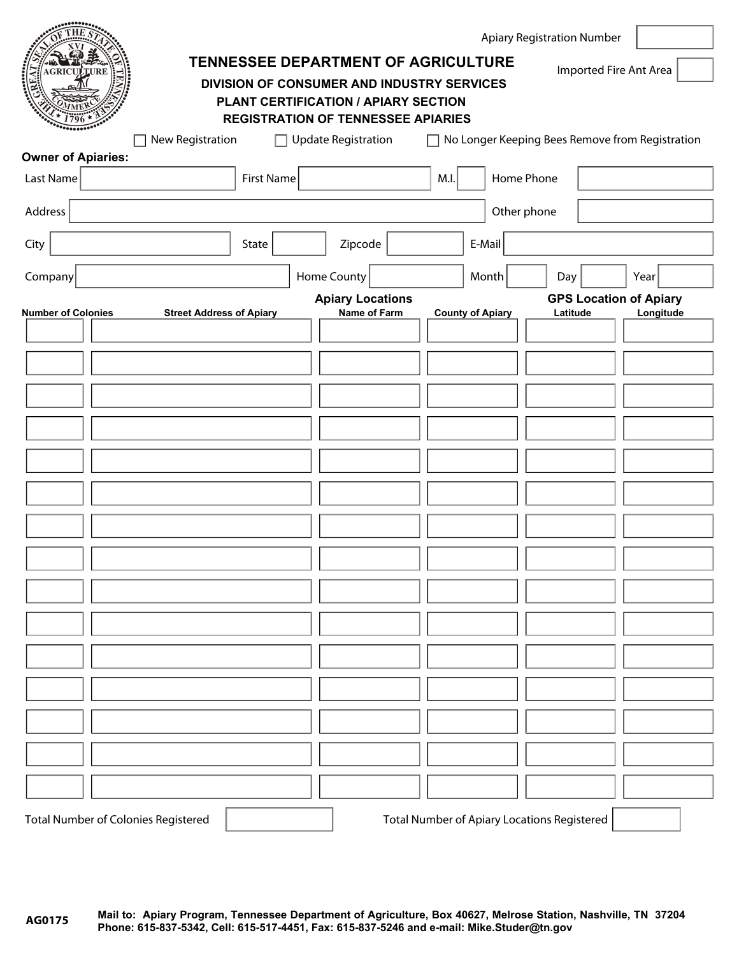| AGRICULTURE<br>ڵڸ                          | TENNESSEE DEPARTMENT OF AGRICULTURE<br>DIVISION OF CONSUMER AND INDUSTRY SERVICES |                            | PLANT CERTIFICATION / APIARY SECTION<br><b>REGISTRATION OF TENNESSEE APIARIES</b> |                                                    | <b>Apiary Registration Number</b> | Imported Fire Ant Area        | $\vert \mathbf{r} \vert$ |
|--------------------------------------------|-----------------------------------------------------------------------------------|----------------------------|-----------------------------------------------------------------------------------|----------------------------------------------------|-----------------------------------|-------------------------------|--------------------------|
| <b>Owner of Apiaries:</b>                  | New Registration                                                                  | <b>Update Registration</b> | П                                                                                 | No Longer Keeping Bees Remove from Registration    |                                   |                               |                          |
| Last Name                                  | <b>First Name</b>                                                                 |                            |                                                                                   | Home Phone<br>M.I.                                 |                                   |                               |                          |
| Address                                    |                                                                                   |                            |                                                                                   | Other phone                                        |                                   |                               |                          |
| City                                       | State                                                                             | Zipcode<br>▼∣              |                                                                                   | E-Mail                                             |                                   |                               |                          |
| Company                                    |                                                                                   | <b>Home County</b>         |                                                                                   | $\vert \mathbf{v} \vert$<br>Month                  | Day                               | Year<br>$\blacktriangledown$  | $\vert \mathbf{v} \vert$ |
| <b>Number of Colonies</b>                  | <b>Street Address of Apiary</b>                                                   | <b>Apiary Locations</b>    | Name of Farm                                                                      | <b>County of Apiary</b>                            | Latitude                          | <b>GPS Location of Apiary</b> | Longitude                |
|                                            |                                                                                   |                            |                                                                                   |                                                    |                                   |                               |                          |
|                                            |                                                                                   |                            |                                                                                   |                                                    |                                   |                               |                          |
|                                            |                                                                                   |                            |                                                                                   |                                                    |                                   |                               |                          |
|                                            |                                                                                   |                            |                                                                                   |                                                    |                                   |                               |                          |
|                                            |                                                                                   |                            |                                                                                   | $\overline{\phantom{0}}$                           |                                   |                               |                          |
|                                            |                                                                                   |                            |                                                                                   | $\overline{\phantom{0}}$                           |                                   |                               |                          |
|                                            |                                                                                   |                            |                                                                                   |                                                    |                                   |                               |                          |
|                                            |                                                                                   |                            |                                                                                   | $\overline{\phantom{a}}$                           |                                   |                               |                          |
|                                            |                                                                                   |                            |                                                                                   | $\left  \cdot \right $                             |                                   |                               |                          |
|                                            |                                                                                   |                            |                                                                                   |                                                    |                                   |                               |                          |
|                                            |                                                                                   |                            |                                                                                   |                                                    |                                   |                               |                          |
|                                            |                                                                                   |                            |                                                                                   | $\blacktriangledown$                               |                                   |                               |                          |
|                                            |                                                                                   |                            |                                                                                   | $\blacktriangledown$                               |                                   |                               |                          |
|                                            |                                                                                   |                            |                                                                                   |                                                    |                                   |                               |                          |
|                                            |                                                                                   |                            |                                                                                   |                                                    |                                   |                               |                          |
|                                            |                                                                                   |                            |                                                                                   | $\blacktriangledown$                               |                                   |                               |                          |
|                                            |                                                                                   |                            |                                                                                   | $\blacktriangledown$                               |                                   |                               |                          |
| <b>Total Number of Colonies Registered</b> |                                                                                   |                            |                                                                                   | <b>Total Number of Apiary Locations Registered</b> |                                   |                               |                          |